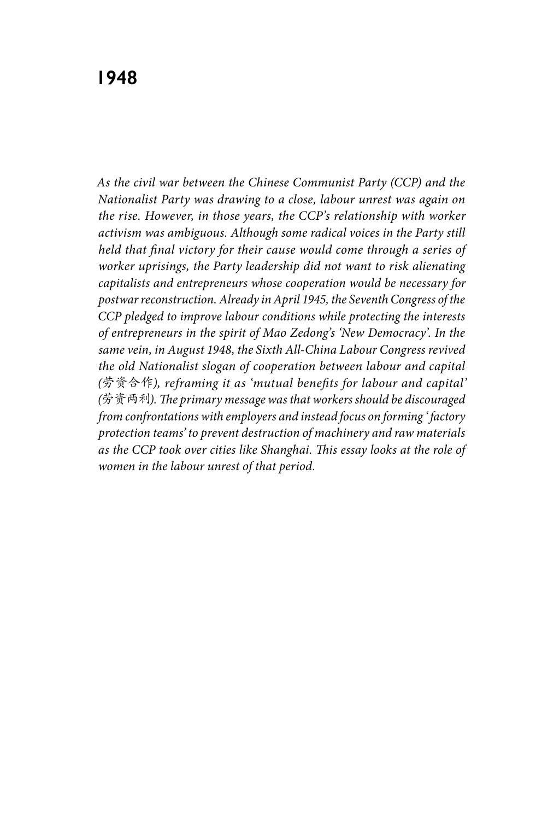*As the civil war between the Chinese Communist Party (CCP) and the Nationalist Party was drawing to a close, labour unrest was again on the rise. However, in those years, the CCP's relationship with worker activism was ambiguous. Although some radical voices in the Party still held that final victory for their cause would come through a series of worker uprisings, the Party leadership did not want to risk alienating capitalists and entrepreneurs whose cooperation would be necessary for postwar reconstruction. Already in April 1945, the Seventh Congress of the CCP pledged to improve labour conditions while protecting the interests of entrepreneurs in the spirit of Mao Zedong's 'New Democracy'. In the same vein, in August 1948, the Sixth All-China Labour Congress revived the old Nationalist slogan of cooperation between labour and capital (*劳资合作*), reframing it as 'mutual benefits for labour and capital' (*劳资两利*). The primary message was that workers should be discouraged from confrontations with employers and instead focus on forming ' factory protection teams' to prevent destruction of machinery and raw materials as the CCP took over cities like Shanghai. This essay looks at the role of women in the labour unrest of that period.*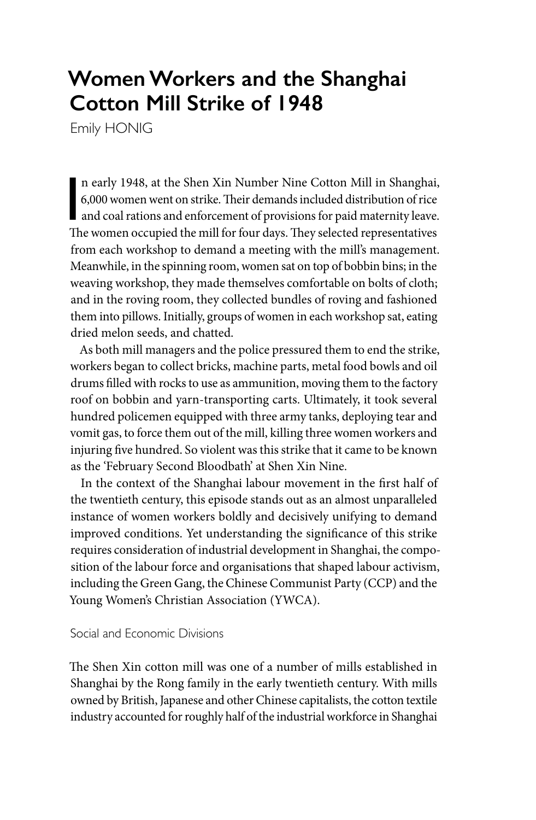# **Women Workers and the Shanghai Cotton Mill Strike of 1948**

Emily HONIG

n early 1948, at the Shen Xin Number Nine Cotton Mill in Shanghai, 6,000 women went on strike. Their demands included distribution of rice<br>and coal rations and enforcement of provisions for paid maternity leave.<br>The women n early 1948, at the Shen Xin Number Nine Cotton Mill in Shanghai, 6,000 women went on strike. Their demands included distribution of rice The women occupied the mill for four days. They selected representatives from each workshop to demand a meeting with the mill's management. Meanwhile, in the spinning room, women sat on top of bobbin bins; in the weaving workshop, they made themselves comfortable on bolts of cloth; and in the roving room, they collected bundles of roving and fashioned them into pillows. Initially, groups of women in each workshop sat, eating dried melon seeds, and chatted.

As both mill managers and the police pressured them to end the strike, workers began to collect bricks, machine parts, metal food bowls and oil drums filled with rocks to use as ammunition, moving them to the factory roof on bobbin and yarn-transporting carts. Ultimately, it took several hundred policemen equipped with three army tanks, deploying tear and vomit gas, to force them out of the mill, killing three women workers and injuring five hundred. So violent was this strike that it came to be known as the 'February Second Bloodbath' at Shen Xin Nine.

In the context of the Shanghai labour movement in the first half of the twentieth century, this episode stands out as an almost unparalleled instance of women workers boldly and decisively unifying to demand improved conditions. Yet understanding the significance of this strike requires consideration of industrial development in Shanghai, the composition of the labour force and organisations that shaped labour activism, including the Green Gang, the Chinese Communist Party (CCP) and the Young Women's Christian Association (YWCA).

Social and Economic Divisions

The Shen Xin cotton mill was one of a number of mills established in Shanghai by the Rong family in the early twentieth century. With mills owned by British, Japanese and other Chinese capitalists, the cotton textile industry accounted for roughly half of the industrial workforce in Shanghai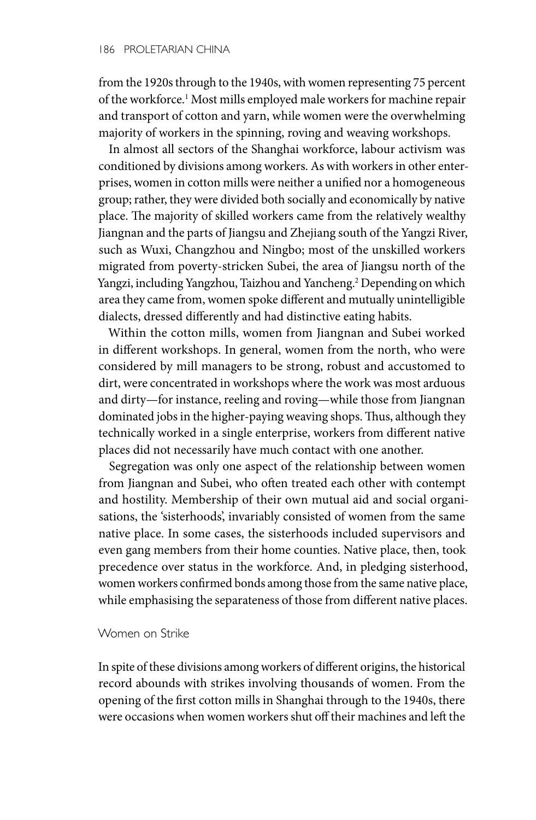from the 1920s through to the 1940s, with women representing 75 percent of the workforce.1 Most mills employed male workers for machine repair and transport of cotton and yarn, while women were the overwhelming majority of workers in the spinning, roving and weaving workshops.

In almost all sectors of the Shanghai workforce, labour activism was conditioned by divisions among workers. As with workers in other enterprises, women in cotton mills were neither a unified nor a homogeneous group; rather, they were divided both socially and economically by native place. The majority of skilled workers came from the relatively wealthy Jiangnan and the parts of Jiangsu and Zhejiang south of the Yangzi River, such as Wuxi, Changzhou and Ningbo; most of the unskilled workers migrated from poverty-stricken Subei, the area of Jiangsu north of the Yangzi, including Yangzhou, Taizhou and Yancheng.<sup>2</sup> Depending on which area they came from, women spoke different and mutually unintelligible dialects, dressed differently and had distinctive eating habits.

Within the cotton mills, women from Jiangnan and Subei worked in different workshops. In general, women from the north, who were considered by mill managers to be strong, robust and accustomed to dirt, were concentrated in workshops where the work was most arduous and dirty—for instance, reeling and roving—while those from Jiangnan dominated jobs in the higher-paying weaving shops. Thus, although they technically worked in a single enterprise, workers from different native places did not necessarily have much contact with one another.

Segregation was only one aspect of the relationship between women from Jiangnan and Subei, who often treated each other with contempt and hostility. Membership of their own mutual aid and social organisations, the 'sisterhoods', invariably consisted of women from the same native place. In some cases, the sisterhoods included supervisors and even gang members from their home counties. Native place, then, took precedence over status in the workforce. And, in pledging sisterhood, women workers confirmed bonds among those from the same native place, while emphasising the separateness of those from different native places.

## Women on Strike

In spite of these divisions among workers of different origins, the historical record abounds with strikes involving thousands of women. From the opening of the first cotton mills in Shanghai through to the 1940s, there were occasions when women workers shut off their machines and left the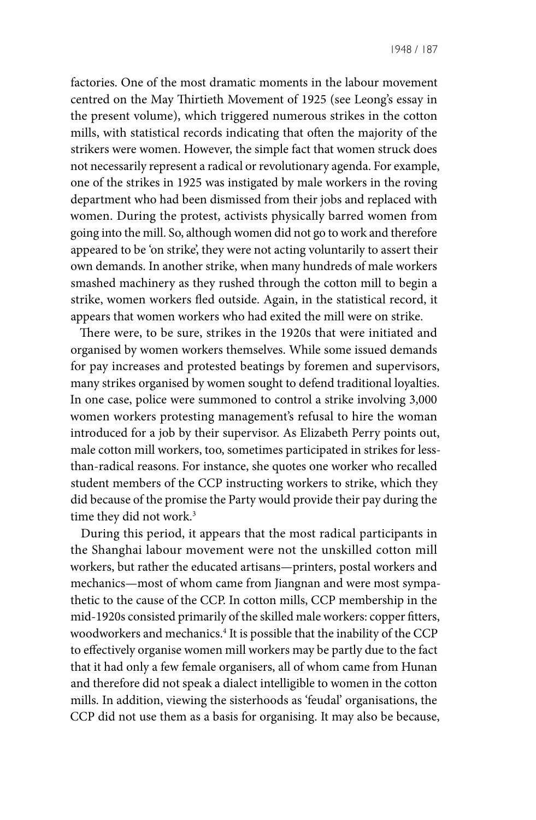factories. One of the most dramatic moments in the labour movement centred on the May Thirtieth Movement of 1925 (see Leong's essay in the present volume), which triggered numerous strikes in the cotton mills, with statistical records indicating that often the majority of the strikers were women. However, the simple fact that women struck does not necessarily represent a radical or revolutionary agenda. For example, one of the strikes in 1925 was instigated by male workers in the roving department who had been dismissed from their jobs and replaced with women. During the protest, activists physically barred women from going into the mill. So, although women did not go to work and therefore appeared to be 'on strike', they were not acting voluntarily to assert their own demands. In another strike, when many hundreds of male workers smashed machinery as they rushed through the cotton mill to begin a strike, women workers fled outside. Again, in the statistical record, it appears that women workers who had exited the mill were on strike.

There were, to be sure, strikes in the 1920s that were initiated and organised by women workers themselves. While some issued demands for pay increases and protested beatings by foremen and supervisors, many strikes organised by women sought to defend traditional loyalties. In one case, police were summoned to control a strike involving 3,000 women workers protesting management's refusal to hire the woman introduced for a job by their supervisor. As Elizabeth Perry points out, male cotton mill workers, too, sometimes participated in strikes for lessthan-radical reasons. For instance, she quotes one worker who recalled student members of the CCP instructing workers to strike, which they did because of the promise the Party would provide their pay during the time they did not work.<sup>3</sup>

During this period, it appears that the most radical participants in the Shanghai labour movement were not the unskilled cotton mill workers, but rather the educated artisans—printers, postal workers and mechanics—most of whom came from Jiangnan and were most sympathetic to the cause of the CCP. In cotton mills, CCP membership in the mid-1920s consisted primarily of the skilled male workers: copper fitters, woodworkers and mechanics.4 It is possible that the inability of the CCP to effectively organise women mill workers may be partly due to the fact that it had only a few female organisers, all of whom came from Hunan and therefore did not speak a dialect intelligible to women in the cotton mills. In addition, viewing the sisterhoods as 'feudal' organisations, the CCP did not use them as a basis for organising. It may also be because,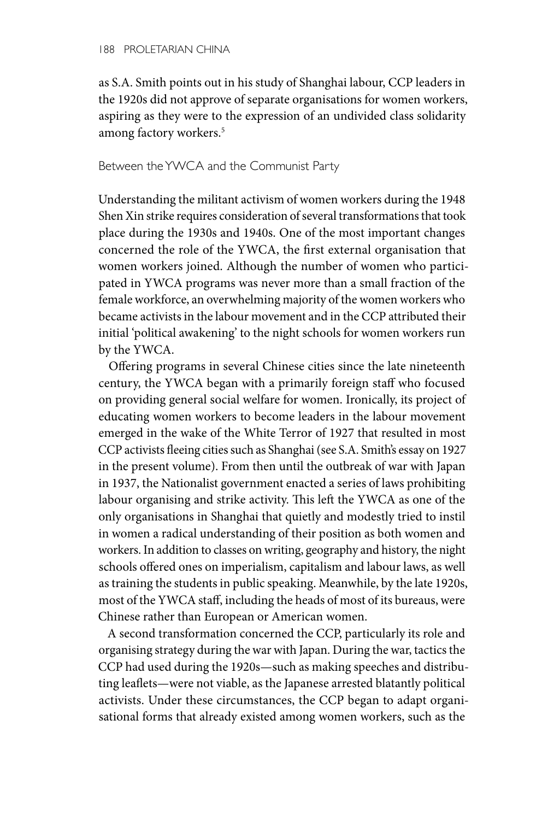as S.A. Smith points out in his study of Shanghai labour, CCP leaders in the 1920s did not approve of separate organisations for women workers, aspiring as they were to the expression of an undivided class solidarity among factory workers.5

# Between the YWCA and the Communist Party

Understanding the militant activism of women workers during the 1948 Shen Xin strike requires consideration of several transformations that took place during the 1930s and 1940s. One of the most important changes concerned the role of the YWCA, the first external organisation that women workers joined. Although the number of women who participated in YWCA programs was never more than a small fraction of the female workforce, an overwhelming majority of the women workers who became activists in the labour movement and in the CCP attributed their initial 'political awakening' to the night schools for women workers run by the YWCA.

Offering programs in several Chinese cities since the late nineteenth century, the YWCA began with a primarily foreign staff who focused on providing general social welfare for women. Ironically, its project of educating women workers to become leaders in the labour movement emerged in the wake of the White Terror of 1927 that resulted in most CCP activists fleeing cities such as Shanghai (see S.A. Smith's essay on 1927 in the present volume). From then until the outbreak of war with Japan in 1937, the Nationalist government enacted a series of laws prohibiting labour organising and strike activity. This left the YWCA as one of the only organisations in Shanghai that quietly and modestly tried to instil in women a radical understanding of their position as both women and workers. In addition to classes on writing, geography and history, the night schools offered ones on imperialism, capitalism and labour laws, as well as training the students in public speaking. Meanwhile, by the late 1920s, most of the YWCA staff, including the heads of most of its bureaus, were Chinese rather than European or American women.

A second transformation concerned the CCP, particularly its role and organising strategy during the war with Japan. During the war, tactics the CCP had used during the 1920s—such as making speeches and distributing leaflets—were not viable, as the Japanese arrested blatantly political activists. Under these circumstances, the CCP began to adapt organisational forms that already existed among women workers, such as the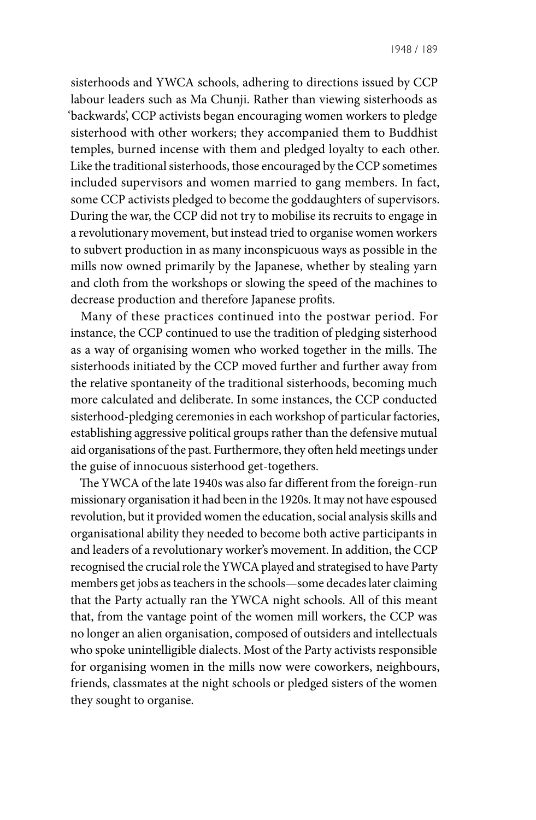sisterhoods and YWCA schools, adhering to directions issued by CCP labour leaders such as Ma Chunji. Rather than viewing sisterhoods as 'backwards', CCP activists began encouraging women workers to pledge sisterhood with other workers; they accompanied them to Buddhist temples, burned incense with them and pledged loyalty to each other. Like the traditional sisterhoods, those encouraged by the CCP sometimes included supervisors and women married to gang members. In fact, some CCP activists pledged to become the goddaughters of supervisors. During the war, the CCP did not try to mobilise its recruits to engage in a revolutionary movement, but instead tried to organise women workers to subvert production in as many inconspicuous ways as possible in the mills now owned primarily by the Japanese, whether by stealing yarn and cloth from the workshops or slowing the speed of the machines to decrease production and therefore Japanese profits.

Many of these practices continued into the postwar period. For instance, the CCP continued to use the tradition of pledging sisterhood as a way of organising women who worked together in the mills. The sisterhoods initiated by the CCP moved further and further away from the relative spontaneity of the traditional sisterhoods, becoming much more calculated and deliberate. In some instances, the CCP conducted sisterhood-pledging ceremonies in each workshop of particular factories, establishing aggressive political groups rather than the defensive mutual aid organisations of the past. Furthermore, they often held meetings under the guise of innocuous sisterhood get-togethers.

The YWCA of the late 1940s was also far different from the foreign-run missionary organisation it had been in the 1920s. It may not have espoused revolution, but it provided women the education, social analysis skills and organisational ability they needed to become both active participants in and leaders of a revolutionary worker's movement. In addition, the CCP recognised the crucial role the YWCA played and strategised to have Party members get jobs as teachers in the schools—some decades later claiming that the Party actually ran the YWCA night schools. All of this meant that, from the vantage point of the women mill workers, the CCP was no longer an alien organisation, composed of outsiders and intellectuals who spoke unintelligible dialects. Most of the Party activists responsible for organising women in the mills now were coworkers, neighbours, friends, classmates at the night schools or pledged sisters of the women they sought to organise.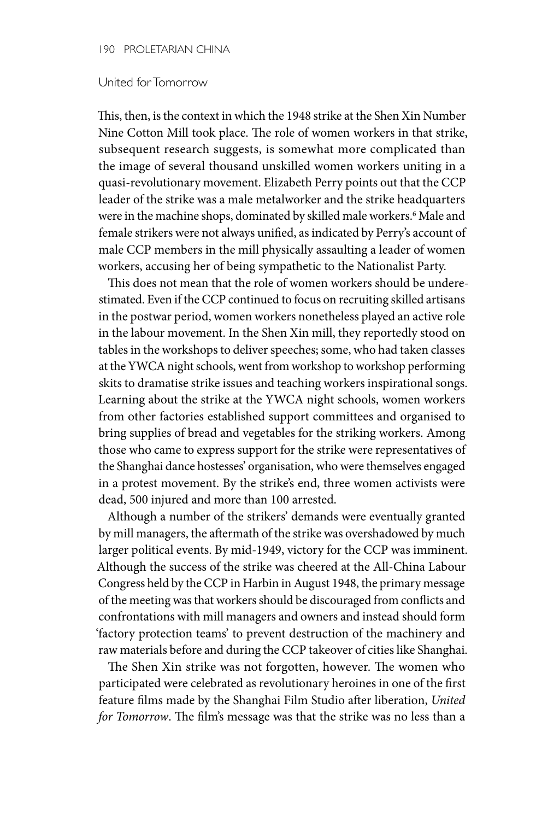#### 190 PROLETARIAN CHINA

### United for Tomorrow

This, then, is the context in which the 1948 strike at the Shen Xin Number Nine Cotton Mill took place. The role of women workers in that strike, subsequent research suggests, is somewhat more complicated than the image of several thousand unskilled women workers uniting in a quasi-revolutionary movement. Elizabeth Perry points out that the CCP leader of the strike was a male metalworker and the strike headquarters were in the machine shops, dominated by skilled male workers.6 Male and female strikers were not always unified, as indicated by Perry's account of male CCP members in the mill physically assaulting a leader of women workers, accusing her of being sympathetic to the Nationalist Party.

This does not mean that the role of women workers should be underestimated. Even if the CCP continued to focus on recruiting skilled artisans in the postwar period, women workers nonetheless played an active role in the labour movement. In the Shen Xin mill, they reportedly stood on tables in the workshops to deliver speeches; some, who had taken classes at the YWCA night schools, went from workshop to workshop performing skits to dramatise strike issues and teaching workers inspirational songs. Learning about the strike at the YWCA night schools, women workers from other factories established support committees and organised to bring supplies of bread and vegetables for the striking workers. Among those who came to express support for the strike were representatives of the Shanghai dance hostesses' organisation, who were themselves engaged in a protest movement. By the strike's end, three women activists were dead, 500 injured and more than 100 arrested.

Although a number of the strikers' demands were eventually granted by mill managers, the aftermath of the strike was overshadowed by much larger political events. By mid-1949, victory for the CCP was imminent. Although the success of the strike was cheered at the All-China Labour Congress held by the CCP in Harbin in August 1948, the primary message of the meeting was that workers should be discouraged from conflicts and confrontations with mill managers and owners and instead should form 'factory protection teams' to prevent destruction of the machinery and raw materials before and during the CCP takeover of cities like Shanghai.

The Shen Xin strike was not forgotten, however. The women who participated were celebrated as revolutionary heroines in one of the first feature films made by the Shanghai Film Studio after liberation, *United for Tomorrow*. The film's message was that the strike was no less than a